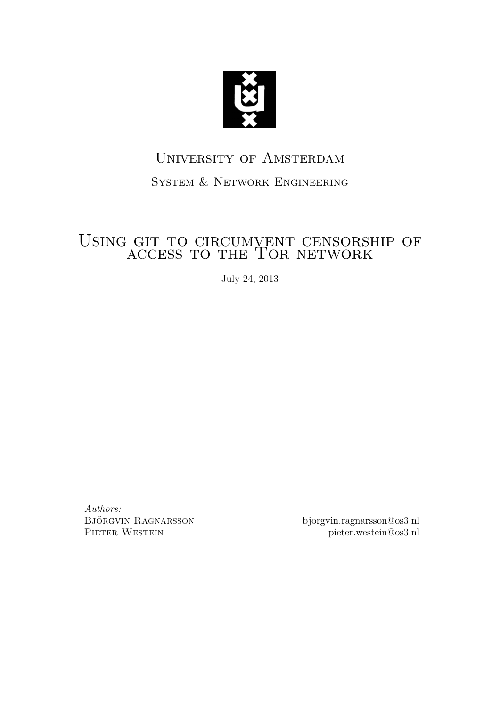

# University of Amsterdam

## System & Network Engineering

# Using git to circumvent censorship of GIT TO CIRCOMVENT CENSORS

July 24, 2013

Authors: BJÖRGVIN RAGNARSSON PIETER WESTEIN

bjorgvin.ragnarsson@os3.nl pieter.westein@os3.nl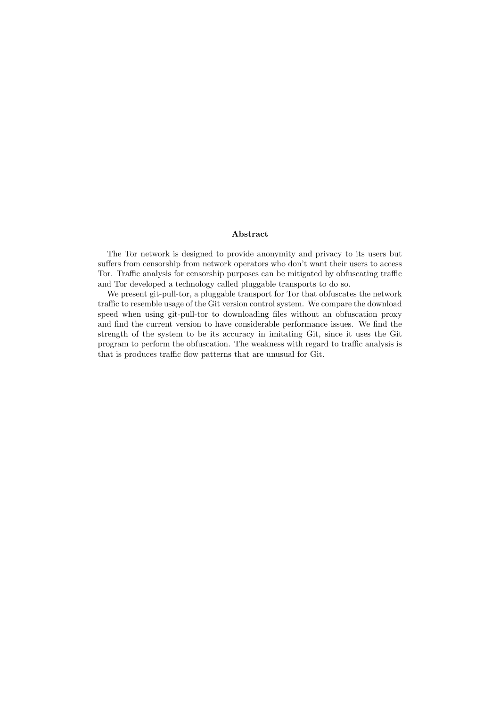#### Abstract

The Tor network is designed to provide anonymity and privacy to its users but suffers from censorship from network operators who don't want their users to access Tor. Traffic analysis for censorship purposes can be mitigated by obfuscating traffic and Tor developed a technology called pluggable transports to do so.

We present git-pull-tor, a pluggable transport for Tor that obfuscates the network traffic to resemble usage of the Git version control system. We compare the download speed when using git-pull-tor to downloading files without an obfuscation proxy and find the current version to have considerable performance issues. We find the strength of the system to be its accuracy in imitating Git, since it uses the Git program to perform the obfuscation. The weakness with regard to traffic analysis is that is produces traffic flow patterns that are unusual for Git.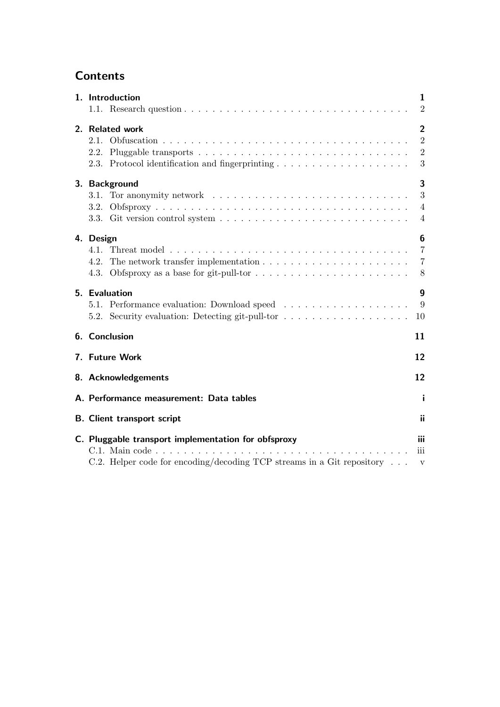## **Contents**

| 1. Introduction<br>1                                                                                                                                                           |                                                         |  |  |  |  |
|--------------------------------------------------------------------------------------------------------------------------------------------------------------------------------|---------------------------------------------------------|--|--|--|--|
|                                                                                                                                                                                | $\overline{2}$                                          |  |  |  |  |
| 2. Related work<br>$2.1$ .<br>2.2.                                                                                                                                             | $\overline{2}$<br>$\overline{2}$<br>$\overline{2}$<br>3 |  |  |  |  |
| 3<br>3. Background                                                                                                                                                             |                                                         |  |  |  |  |
| 3.1. Tor anonymity network $\ldots \ldots \ldots \ldots \ldots \ldots \ldots \ldots \ldots$<br>3.2.                                                                            | 3<br>$\overline{4}$<br>4                                |  |  |  |  |
| 4. Design<br>4.1.<br>4.2.                                                                                                                                                      | 6<br>$\overline{7}$<br>$\overline{7}$<br>8              |  |  |  |  |
| 5. Evaluation<br>5.1. Performance evaluation: Download speed<br>5.2. Security evaluation: Detecting git-pull-tor                                                               | $\boldsymbol{9}$<br>9<br>10                             |  |  |  |  |
| 6. Conclusion<br>11                                                                                                                                                            |                                                         |  |  |  |  |
| 12<br>7. Future Work                                                                                                                                                           |                                                         |  |  |  |  |
| 12<br>8. Acknowledgements                                                                                                                                                      |                                                         |  |  |  |  |
| A. Performance measurement: Data tables                                                                                                                                        |                                                         |  |  |  |  |
| <b>B.</b> Client transport script                                                                                                                                              |                                                         |  |  |  |  |
| C. Pluggable transport implementation for obfsproxy<br>$C.1.$ Main code $\ldots$ , $\ldots$<br>C.2. Helper code for encoding/decoding TCP streams in a Git repository $\ldots$ |                                                         |  |  |  |  |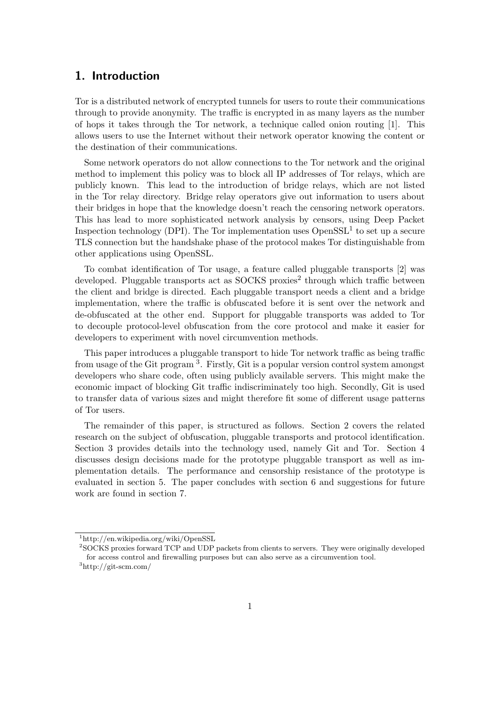## 1. Introduction

Tor is a distributed network of encrypted tunnels for users to route their communications through to provide anonymity. The traffic is encrypted in as many layers as the number of hops it takes through the Tor network, a technique called onion routing [1]. This allows users to use the Internet without their network operator knowing the content or the destination of their communications.

Some network operators do not allow connections to the Tor network and the original method to implement this policy was to block all IP addresses of Tor relays, which are publicly known. This lead to the introduction of bridge relays, which are not listed in the Tor relay directory. Bridge relay operators give out information to users about their bridges in hope that the knowledge doesn't reach the censoring network operators. This has lead to more sophisticated network analysis by censors, using Deep Packet Inspection technology (DPI). The Tor implementation uses  $OpenSSL<sup>1</sup>$  to set up a secure TLS connection but the handshake phase of the protocol makes Tor distinguishable from other applications using OpenSSL.

To combat identification of Tor usage, a feature called pluggable transports [2] was developed. Pluggable transports act as SOCKS proxies<sup>2</sup> through which traffic between the client and bridge is directed. Each pluggable transport needs a client and a bridge implementation, where the traffic is obfuscated before it is sent over the network and de-obfuscated at the other end. Support for pluggable transports was added to Tor to decouple protocol-level obfuscation from the core protocol and make it easier for developers to experiment with novel circumvention methods.

This paper introduces a pluggable transport to hide Tor network traffic as being traffic from usage of the Git program<sup>3</sup>. Firstly, Git is a popular version control system amongst developers who share code, often using publicly available servers. This might make the economic impact of blocking Git traffic indiscriminately too high. Secondly, Git is used to transfer data of various sizes and might therefore fit some of different usage patterns of Tor users.

The remainder of this paper, is structured as follows. Section 2 covers the related research on the subject of obfuscation, pluggable transports and protocol identification. Section 3 provides details into the technology used, namely Git and Tor. Section 4 discusses design decisions made for the prototype pluggable transport as well as implementation details. The performance and censorship resistance of the prototype is evaluated in section 5. The paper concludes with section 6 and suggestions for future work are found in section 7.

<sup>1</sup>http://en.wikipedia.org/wiki/OpenSSL

<sup>2</sup>SOCKS proxies forward TCP and UDP packets from clients to servers. They were originally developed for access control and firewalling purposes but can also serve as a circumvention tool.

<sup>3</sup>http://git-scm.com/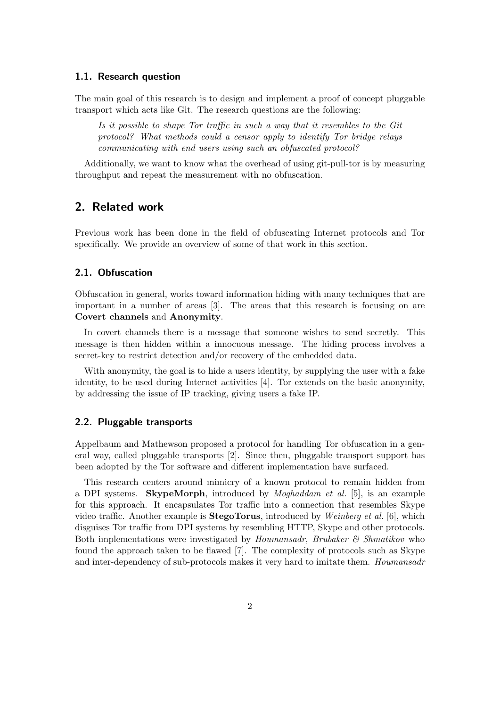#### 1.1. Research question

The main goal of this research is to design and implement a proof of concept pluggable transport which acts like Git. The research questions are the following:

Is it possible to shape Tor traffic in such a way that it resembles to the Git protocol? What methods could a censor apply to identify Tor bridge relays communicating with end users using such an obfuscated protocol?

Additionally, we want to know what the overhead of using git-pull-tor is by measuring throughput and repeat the measurement with no obfuscation.

#### 2. Related work

Previous work has been done in the field of obfuscating Internet protocols and Tor specifically. We provide an overview of some of that work in this section.

#### 2.1. Obfuscation

Obfuscation in general, works toward information hiding with many techniques that are important in a number of areas [3]. The areas that this research is focusing on are Covert channels and Anonymity.

In covert channels there is a message that someone wishes to send secretly. This message is then hidden within a innocuous message. The hiding process involves a secret-key to restrict detection and/or recovery of the embedded data.

With anonymity, the goal is to hide a users identity, by supplying the user with a fake identity, to be used during Internet activities [4]. Tor extends on the basic anonymity, by addressing the issue of IP tracking, giving users a fake IP.

#### 2.2. Pluggable transports

Appelbaum and Mathewson proposed a protocol for handling Tor obfuscation in a general way, called pluggable transports [2]. Since then, pluggable transport support has been adopted by the Tor software and different implementation have surfaced.

This research centers around mimicry of a known protocol to remain hidden from a DPI systems. SkypeMorph, introduced by Moghaddam et al. [5], is an example for this approach. It encapsulates Tor traffic into a connection that resembles Skype video traffic. Another example is **StegoTorus**, introduced by *Weinberg et al.* [6], which disguises Tor traffic from DPI systems by resembling HTTP, Skype and other protocols. Both implementations were investigated by Houmansadr, Brubaker  $\mathcal C$  Shmatikov who found the approach taken to be flawed [7]. The complexity of protocols such as Skype and inter-dependency of sub-protocols makes it very hard to imitate them. Houmansadr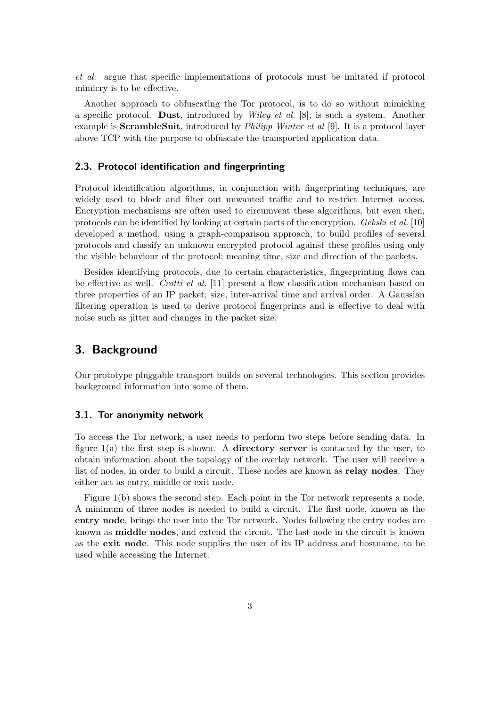et al. argue that specific implementations of protocols must be imitated if protocol mimicry is to be effective.

Another approach to obfuscating the Tor protocol, is to do so without mimicking a specific protocol. Dust, introduced by *Wiley et al.* [8], is such a system. Another example is **ScrambleSuit**, introduced by *Philipp Winter et al* [9]. It is a protocol layer above TCP with the purpose to obfuscate the transported application data.

#### 2.3. Protocol identification and fingerprinting

Protocol identification algorithms, in conjunction with fingerprinting techniques, are widely used to block and filter out unwanted traffic and to restrict Internet access. Encryption mechanisms are often used to circumvent these algorithms, but even then, protocols can be identified by looking at certain parts of the encryption. Gebski et al. [10] developed a method, using a graph-comparison approach, to build profiles of several protocols and classify an unknown encrypted protocol against these profiles using only the visible behaviour of the protocol; meaning time, size and direction of the packets.

Besides identifying protocols, due to certain characteristics, fingerprinting flows can be effective as well. Crotti et al. [11] present a flow classification mechanism based on three properties of an IP packet; size, inter-arrival time and arrival order. A Gaussian filtering operation is used to derive protocol fingerprints and is effective to deal with noise such as jitter and changes in the packet size.

## 3. Background

Our prototype pluggable transport builds on several technologies. This section provides background information into some of them.

#### 3.1. Tor anonymity network

To access the Tor network, a user needs to perform two steps before sending data. In figure  $1(a)$  the first step is shown. A **directory server** is contacted by the user, to obtain information about the topology of the overlay network. The user will receive a list of nodes, in order to build a circuit. These nodes are known as **relay nodes**. They either act as entry, middle or exit node.

Figure 1(b) shows the second step. Each point in the Tor network represents a node. A minimum of three nodes is needed to build a circuit. The first node, known as the entry node, brings the user into the Tor network. Nodes following the entry nodes are known as middle nodes, and extend the circuit. The last node in the circuit is known as the exit node. This node supplies the user of its IP address and hostname, to be used while accessing the Internet.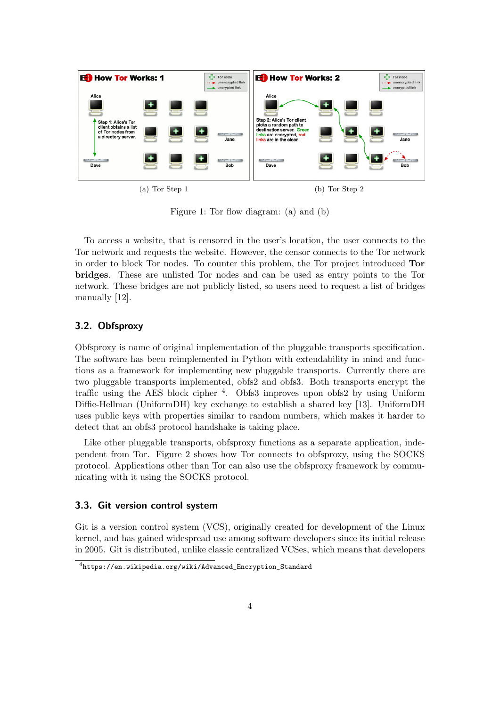

Figure 1: Tor flow diagram: (a) and (b)

To access a website, that is censored in the user's location, the user connects to the Tor network and requests the website. However, the censor connects to the Tor network in order to block Tor nodes. To counter this problem, the Tor project introduced Tor bridges. These are unlisted Tor nodes and can be used as entry points to the Tor network. These bridges are not publicly listed, so users need to request a list of bridges manually [12].

#### 3.2. Obfsproxy

Obfsproxy is name of original implementation of the pluggable transports specification. The software has been reimplemented in Python with extendability in mind and functions as a framework for implementing new pluggable transports. Currently there are two pluggable transports implemented, obfs2 and obfs3. Both transports encrypt the traffic using the AES block cipher <sup>4</sup>. Obfs3 improves upon obfs2 by using Uniform Diffie-Hellman (UniformDH) key exchange to establish a shared key [13]. UniformDH uses public keys with properties similar to random numbers, which makes it harder to detect that an obfs3 protocol handshake is taking place.

Like other pluggable transports, obfsproxy functions as a separate application, independent from Tor. Figure 2 shows how Tor connects to obfsproxy, using the SOCKS protocol. Applications other than Tor can also use the obfsproxy framework by communicating with it using the SOCKS protocol.

#### 3.3. Git version control system

Git is a version control system (VCS), originally created for development of the Linux kernel, and has gained widespread use among software developers since its initial release in 2005. Git is distributed, unlike classic centralized VCSes, which means that developers

<sup>4</sup> https://en.wikipedia.org/wiki/Advanced\_Encryption\_Standard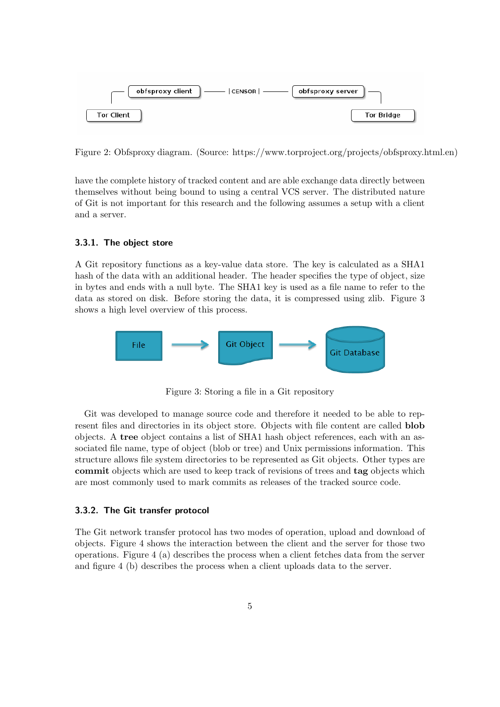

Figure 2: Obfsproxy diagram. (Source: https://www.torproject.org/projects/obfsproxy.html.en)

have the complete history of tracked content and are able exchange data directly between themselves without being bound to using a central VCS server. The distributed nature of Git is not important for this research and the following assumes a setup with a client and a server.

#### 3.3.1. The object store

A Git repository functions as a key-value data store. The key is calculated as a SHA1 hash of the data with an additional header. The header specifies the type of object, size in bytes and ends with a null byte. The SHA1 key is used as a file name to refer to the data as stored on disk. Before storing the data, it is compressed using zlib. Figure 3 shows a high level overview of this process.



Figure 3: Storing a file in a Git repository

Git was developed to manage source code and therefore it needed to be able to represent files and directories in its object store. Objects with file content are called blob objects. A tree object contains a list of SHA1 hash object references, each with an associated file name, type of object (blob or tree) and Unix permissions information. This structure allows file system directories to be represented as Git objects. Other types are commit objects which are used to keep track of revisions of trees and tag objects which are most commonly used to mark commits as releases of the tracked source code.

#### 3.3.2. The Git transfer protocol

The Git network transfer protocol has two modes of operation, upload and download of objects. Figure 4 shows the interaction between the client and the server for those two operations. Figure 4 (a) describes the process when a client fetches data from the server and figure 4 (b) describes the process when a client uploads data to the server.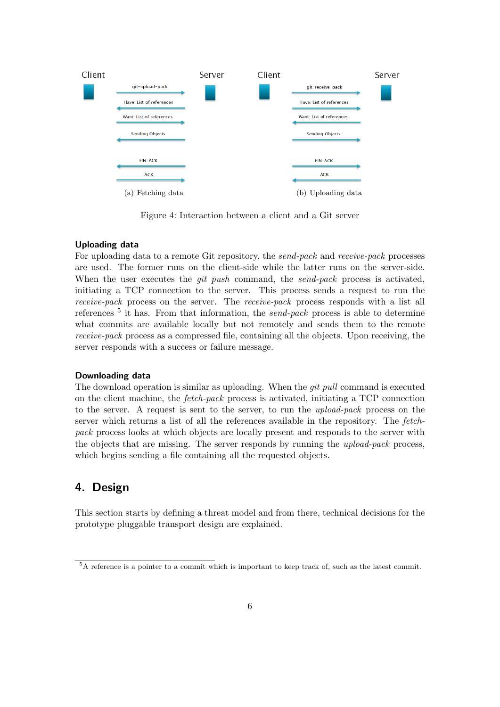

Figure 4: Interaction between a client and a Git server

#### Uploading data

For uploading data to a remote Git repository, the *send-pack* and *receive-pack* processes are used. The former runs on the client-side while the latter runs on the server-side. When the user executes the *git push* command, the *send-pack* process is activated, initiating a TCP connection to the server. This process sends a request to run the receive-pack process on the server. The receive-pack process responds with a list all references<sup>5</sup> it has. From that information, the *send-pack* process is able to determine what commits are available locally but not remotely and sends them to the remote receive-pack process as a compressed file, containing all the objects. Upon receiving, the server responds with a success or failure message.

#### Downloading data

The download operation is similar as uploading. When the *git pull* command is executed on the client machine, the fetch-pack process is activated, initiating a TCP connection to the server. A request is sent to the server, to run the upload-pack process on the server which returns a list of all the references available in the repository. The fetchpack process looks at which objects are locally present and responds to the server with the objects that are missing. The server responds by running the upload-pack process, which begins sending a file containing all the requested objects.

## 4. Design

This section starts by defining a threat model and from there, technical decisions for the prototype pluggable transport design are explained.

<sup>5</sup>A reference is a pointer to a commit which is important to keep track of, such as the latest commit.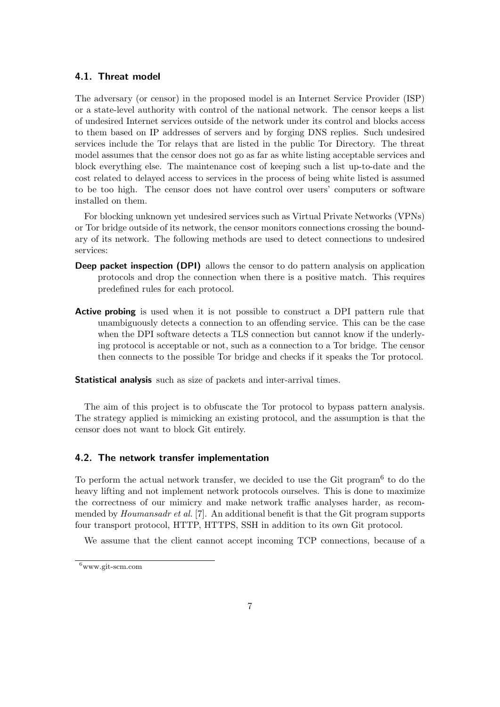#### 4.1. Threat model

The adversary (or censor) in the proposed model is an Internet Service Provider (ISP) or a state-level authority with control of the national network. The censor keeps a list of undesired Internet services outside of the network under its control and blocks access to them based on IP addresses of servers and by forging DNS replies. Such undesired services include the Tor relays that are listed in the public Tor Directory. The threat model assumes that the censor does not go as far as white listing acceptable services and block everything else. The maintenance cost of keeping such a list up-to-date and the cost related to delayed access to services in the process of being white listed is assumed to be too high. The censor does not have control over users' computers or software installed on them.

For blocking unknown yet undesired services such as Virtual Private Networks (VPNs) or Tor bridge outside of its network, the censor monitors connections crossing the boundary of its network. The following methods are used to detect connections to undesired services:

- Deep packet inspection (DPI) allows the censor to do pattern analysis on application protocols and drop the connection when there is a positive match. This requires predefined rules for each protocol.
- Active probing is used when it is not possible to construct a DPI pattern rule that unambiguously detects a connection to an offending service. This can be the case when the DPI software detects a TLS connection but cannot know if the underlying protocol is acceptable or not, such as a connection to a Tor bridge. The censor then connects to the possible Tor bridge and checks if it speaks the Tor protocol.

Statistical analysis such as size of packets and inter-arrival times.

The aim of this project is to obfuscate the Tor protocol to bypass pattern analysis. The strategy applied is mimicking an existing protocol, and the assumption is that the censor does not want to block Git entirely.

#### 4.2. The network transfer implementation

To perform the actual network transfer, we decided to use the Git program<sup>6</sup> to do the heavy lifting and not implement network protocols ourselves. This is done to maximize the correctness of our mimicry and make network traffic analyses harder, as recommended by *Houmansadr et al.* [7]. An additional benefit is that the Git program supports four transport protocol, HTTP, HTTPS, SSH in addition to its own Git protocol.

We assume that the client cannot accept incoming TCP connections, because of a

 $6$ www.git-scm.com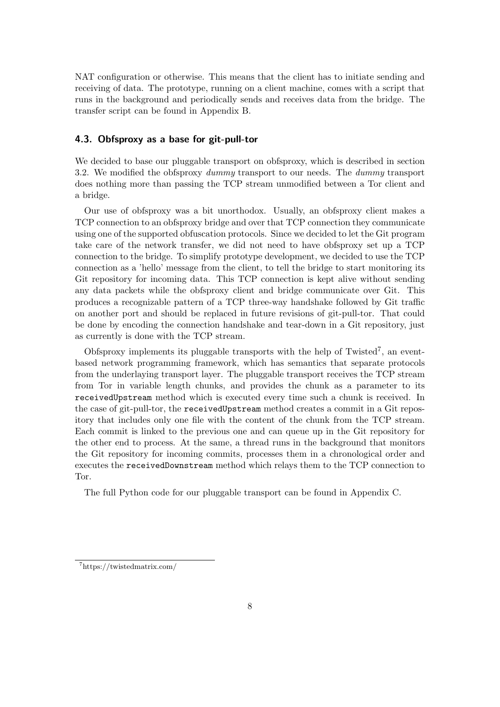NAT configuration or otherwise. This means that the client has to initiate sending and receiving of data. The prototype, running on a client machine, comes with a script that runs in the background and periodically sends and receives data from the bridge. The transfer script can be found in Appendix B.

#### 4.3. Obfsproxy as a base for git-pull-tor

We decided to base our pluggable transport on obfsproxy, which is described in section 3.2. We modified the obfsproxy dummy transport to our needs. The dummy transport does nothing more than passing the TCP stream unmodified between a Tor client and a bridge.

Our use of obfsproxy was a bit unorthodox. Usually, an obfsproxy client makes a TCP connection to an obfsproxy bridge and over that TCP connection they communicate using one of the supported obfuscation protocols. Since we decided to let the Git program take care of the network transfer, we did not need to have obfsproxy set up a TCP connection to the bridge. To simplify prototype development, we decided to use the TCP connection as a 'hello' message from the client, to tell the bridge to start monitoring its Git repository for incoming data. This TCP connection is kept alive without sending any data packets while the obfsproxy client and bridge communicate over Git. This produces a recognizable pattern of a TCP three-way handshake followed by Git traffic on another port and should be replaced in future revisions of git-pull-tor. That could be done by encoding the connection handshake and tear-down in a Git repository, just as currently is done with the TCP stream.

Obfsproxy implements its pluggable transports with the help of  $Twisted<sup>7</sup>$ , an eventbased network programming framework, which has semantics that separate protocols from the underlaying transport layer. The pluggable transport receives the TCP stream from Tor in variable length chunks, and provides the chunk as a parameter to its receivedUpstream method which is executed every time such a chunk is received. In the case of git-pull-tor, the receivedUpstream method creates a commit in a Git repository that includes only one file with the content of the chunk from the TCP stream. Each commit is linked to the previous one and can queue up in the Git repository for the other end to process. At the same, a thread runs in the background that monitors the Git repository for incoming commits, processes them in a chronological order and executes the receivedDownstream method which relays them to the TCP connection to Tor.

The full Python code for our pluggable transport can be found in Appendix C.

<sup>7</sup>https://twistedmatrix.com/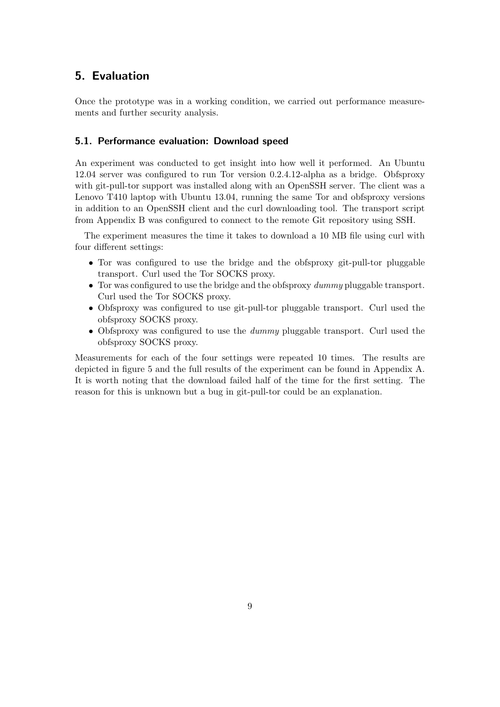## 5. Evaluation

Once the prototype was in a working condition, we carried out performance measurements and further security analysis.

#### 5.1. Performance evaluation: Download speed

An experiment was conducted to get insight into how well it performed. An Ubuntu 12.04 server was configured to run Tor version 0.2.4.12-alpha as a bridge. Obfsproxy with git-pull-tor support was installed along with an OpenSSH server. The client was a Lenovo T410 laptop with Ubuntu 13.04, running the same Tor and obfsproxy versions in addition to an OpenSSH client and the curl downloading tool. The transport script from Appendix B was configured to connect to the remote Git repository using SSH.

The experiment measures the time it takes to download a 10 MB file using curl with four different settings:

- Tor was configured to use the bridge and the obfsproxy git-pull-tor pluggable transport. Curl used the Tor SOCKS proxy.
- Tor was configured to use the bridge and the obfsproxy dummy pluggable transport. Curl used the Tor SOCKS proxy.
- Obfsproxy was configured to use git-pull-tor pluggable transport. Curl used the obfsproxy SOCKS proxy.
- Obfsproxy was configured to use the *dummy* pluggable transport. Curl used the obfsproxy SOCKS proxy.

Measurements for each of the four settings were repeated 10 times. The results are depicted in figure 5 and the full results of the experiment can be found in Appendix A. It is worth noting that the download failed half of the time for the first setting. The reason for this is unknown but a bug in git-pull-tor could be an explanation.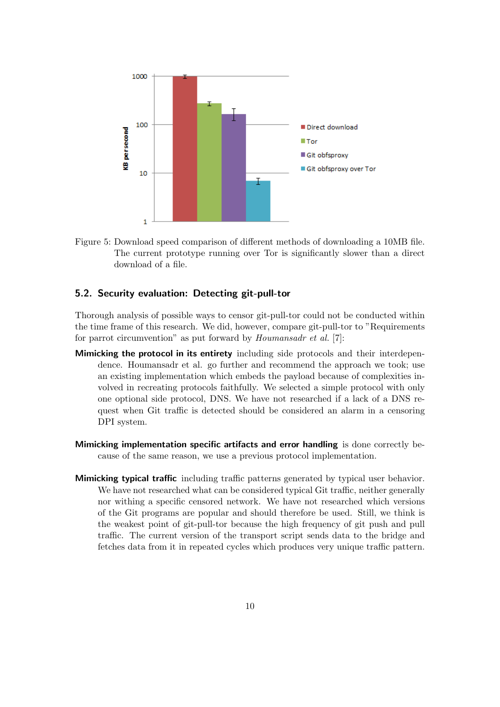

Figure 5: Download speed comparison of different methods of downloading a 10MB file. The current prototype running over Tor is significantly slower than a direct download of a file.

#### 5.2. Security evaluation: Detecting git-pull-tor

Thorough analysis of possible ways to censor git-pull-tor could not be conducted within the time frame of this research. We did, however, compare git-pull-tor to "Requirements for parrot circumvention" as put forward by *Houmansadr et al.* [7]:

- Mimicking the protocol in its entirety including side protocols and their interdependence. Houmansadr et al. go further and recommend the approach we took; use an existing implementation which embeds the payload because of complexities involved in recreating protocols faithfully. We selected a simple protocol with only one optional side protocol, DNS. We have not researched if a lack of a DNS request when Git traffic is detected should be considered an alarm in a censoring DPI system.
- Mimicking implementation specific artifacts and error handling is done correctly because of the same reason, we use a previous protocol implementation.
- Mimicking typical traffic including traffic patterns generated by typical user behavior. We have not researched what can be considered typical Git traffic, neither generally nor withing a specific censored network. We have not researched which versions of the Git programs are popular and should therefore be used. Still, we think is the weakest point of git-pull-tor because the high frequency of git push and pull traffic. The current version of the transport script sends data to the bridge and fetches data from it in repeated cycles which produces very unique traffic pattern.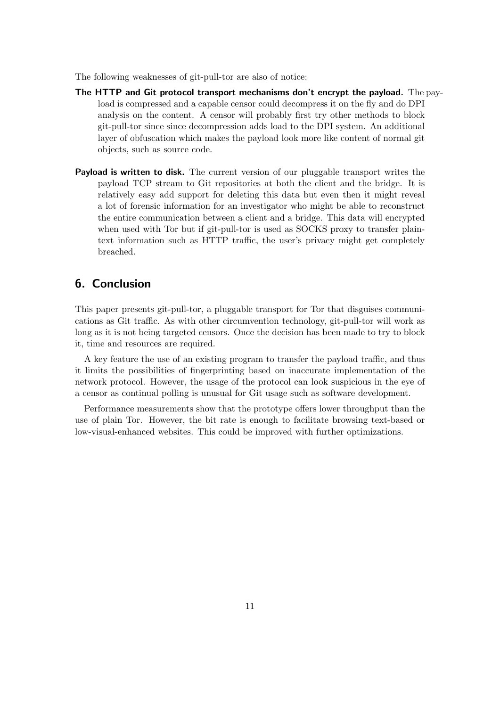The following weaknesses of git-pull-tor are also of notice:

- The HTTP and Git protocol transport mechanisms don't encrypt the payload. The payload is compressed and a capable censor could decompress it on the fly and do DPI analysis on the content. A censor will probably first try other methods to block git-pull-tor since since decompression adds load to the DPI system. An additional layer of obfuscation which makes the payload look more like content of normal git objects, such as source code.
- **Payload is written to disk.** The current version of our pluggable transport writes the payload TCP stream to Git repositories at both the client and the bridge. It is relatively easy add support for deleting this data but even then it might reveal a lot of forensic information for an investigator who might be able to reconstruct the entire communication between a client and a bridge. This data will encrypted when used with Tor but if git-pull-tor is used as SOCKS proxy to transfer plaintext information such as HTTP traffic, the user's privacy might get completely breached.

## 6. Conclusion

This paper presents git-pull-tor, a pluggable transport for Tor that disguises communications as Git traffic. As with other circumvention technology, git-pull-tor will work as long as it is not being targeted censors. Once the decision has been made to try to block it, time and resources are required.

A key feature the use of an existing program to transfer the payload traffic, and thus it limits the possibilities of fingerprinting based on inaccurate implementation of the network protocol. However, the usage of the protocol can look suspicious in the eye of a censor as continual polling is unusual for Git usage such as software development.

Performance measurements show that the prototype offers lower throughput than the use of plain Tor. However, the bit rate is enough to facilitate browsing text-based or low-visual-enhanced websites. This could be improved with further optimizations.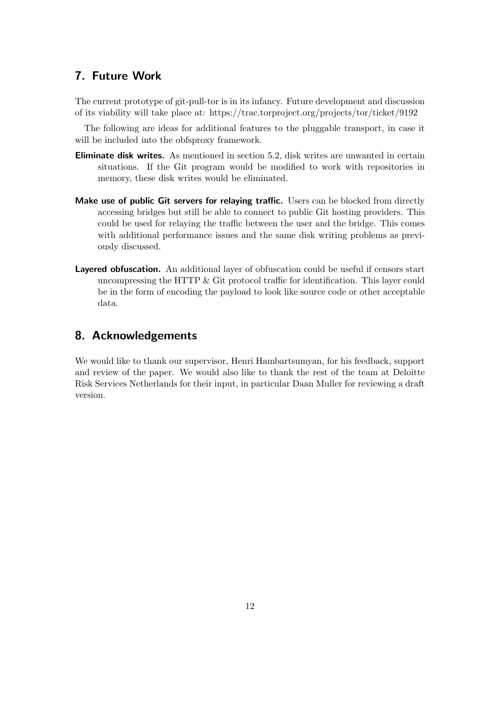## 7. Future Work

The current prototype of git-pull-tor is in its infancy. Future development and discussion of its viability will take place at: https://trac.torproject.org/projects/tor/ticket/9192

The following are ideas for additional features to the pluggable transport, in case it will be included into the obfsproxy framework.

- Eliminate disk writes. As mentioned in section 5.2, disk writes are unwanted in certain situations. If the Git program would be modified to work with repositories in memory, these disk writes would be eliminated.
- Make use of public Git servers for relaying traffic. Users can be blocked from directly accessing bridges but still be able to connect to public Git hosting providers. This could be used for relaying the traffic between the user and the bridge. This comes with additional performance issues and the same disk writing problems as previously discussed.
- Layered obfuscation. An additional layer of obfuscation could be useful if censors start uncompressing the HTTP & Git protocol traffic for identification. This layer could be in the form of encoding the payload to look like source code or other acceptable data.

## 8. Acknowledgements

We would like to thank our supervisor, Henri Hambartsumyan, for his feedback, support and review of the paper. We would also like to thank the rest of the team at Deloitte Risk Services Netherlands for their input, in particular Daan Muller for reviewing a draft version.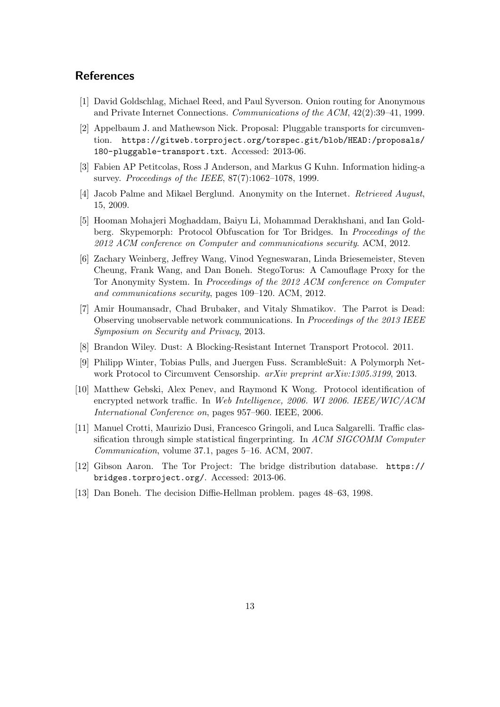## **References**

- [1] David Goldschlag, Michael Reed, and Paul Syverson. Onion routing for Anonymous and Private Internet Connections. Communications of the ACM, 42(2):39–41, 1999.
- [2] Appelbaum J. and Mathewson Nick. Proposal: Pluggable transports for circumvention. https://gitweb.torproject.org/torspec.git/blob/HEAD:/proposals/ 180-pluggable-transport.txt. Accessed: 2013-06.
- [3] Fabien AP Petitcolas, Ross J Anderson, and Markus G Kuhn. Information hiding-a survey. Proceedings of the IEEE, 87(7):1062–1078, 1999.
- [4] Jacob Palme and Mikael Berglund. Anonymity on the Internet. Retrieved August, 15, 2009.
- [5] Hooman Mohajeri Moghaddam, Baiyu Li, Mohammad Derakhshani, and Ian Goldberg. Skypemorph: Protocol Obfuscation for Tor Bridges. In Proceedings of the 2012 ACM conference on Computer and communications security. ACM, 2012.
- [6] Zachary Weinberg, Jeffrey Wang, Vinod Yegneswaran, Linda Briesemeister, Steven Cheung, Frank Wang, and Dan Boneh. StegoTorus: A Camouflage Proxy for the Tor Anonymity System. In Proceedings of the 2012 ACM conference on Computer and communications security, pages 109–120. ACM, 2012.
- [7] Amir Houmansadr, Chad Brubaker, and Vitaly Shmatikov. The Parrot is Dead: Observing unobservable network communications. In Proceedings of the 2013 IEEE Symposium on Security and Privacy, 2013.
- [8] Brandon Wiley. Dust: A Blocking-Resistant Internet Transport Protocol. 2011.
- [9] Philipp Winter, Tobias Pulls, and Juergen Fuss. ScrambleSuit: A Polymorph Network Protocol to Circumvent Censorship. arXiv preprint arXiv:1305.3199, 2013.
- [10] Matthew Gebski, Alex Penev, and Raymond K Wong. Protocol identification of encrypted network traffic. In Web Intelligence, 2006. WI 2006. IEEE/WIC/ACM International Conference on, pages 957–960. IEEE, 2006.
- [11] Manuel Crotti, Maurizio Dusi, Francesco Gringoli, and Luca Salgarelli. Traffic classification through simple statistical fingerprinting. In ACM SIGCOMM Computer Communication, volume 37.1, pages 5–16. ACM, 2007.
- [12] Gibson Aaron. The Tor Project: The bridge distribution database. https:// bridges.torproject.org/. Accessed: 2013-06.
- [13] Dan Boneh. The decision Diffie-Hellman problem. pages 48–63, 1998.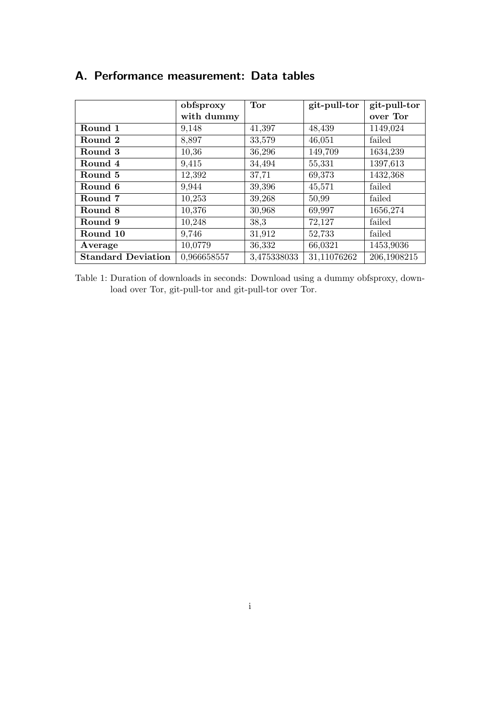|                           | obfsproxy   | <b>Tor</b>  | git-pull-tor | git-pull-tor |
|---------------------------|-------------|-------------|--------------|--------------|
|                           | with dummy  |             |              | over Tor     |
| Round 1                   | 9,148       | 41,397      | 48,439       | 1149,024     |
| Round 2                   | 8,897       | 33,579      | 46,051       | failed       |
| Round 3                   | 10,36       | 36,296      | 149,709      | 1634,239     |
| Round 4                   | 9,415       | 34,494      | 55,331       | 1397,613     |
| Round 5                   | 12,392      | 37,71       | 69,373       | 1432,368     |
| Round 6                   | 9,944       | 39,396      | 45,571       | failed       |
| Round 7                   | 10,253      | 39,268      | 50,99        | failed       |
| Round 8                   | 10,376      | 30,968      | 69,997       | 1656,274     |
| Round 9                   | 10,248      | 38,3        | 72,127       | failed       |
| Round 10                  | 9,746       | 31,912      | 52,733       | failed       |
| Average                   | 10,0779     | 36,332      | 66,0321      | 1453,9036    |
| <b>Standard Deviation</b> | 0,966658557 | 3,475338033 | 31,11076262  | 206,1908215  |

## A. Performance measurement: Data tables

Table 1: Duration of downloads in seconds: Download using a dummy obfsproxy, download over Tor, git-pull-tor and git-pull-tor over Tor.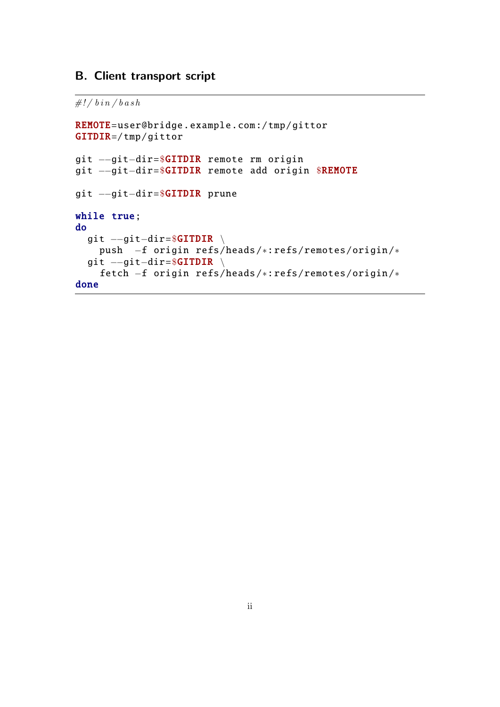## B. Client transport script

 $\# ! / b in / b a sh$ 

```
REMOTE= user@bridge .example.com :/ tmp/gittor
GITDIR=/ tmp/gittor
git −−git−dir=$GITDIR remote rm origin
git −−git−dir=$GITDIR remote add origin $REMOTE
git −−git−dir=$GITDIR prune
while true;
do
  git --git-dir=$GITDIR \
    push −f origin refs/heads /∗: refs/remotes/origin /∗
  git --git-dir=$GITDIR \
    fetch −f origin refs/heads /∗: refs/remotes/origin /∗
done
```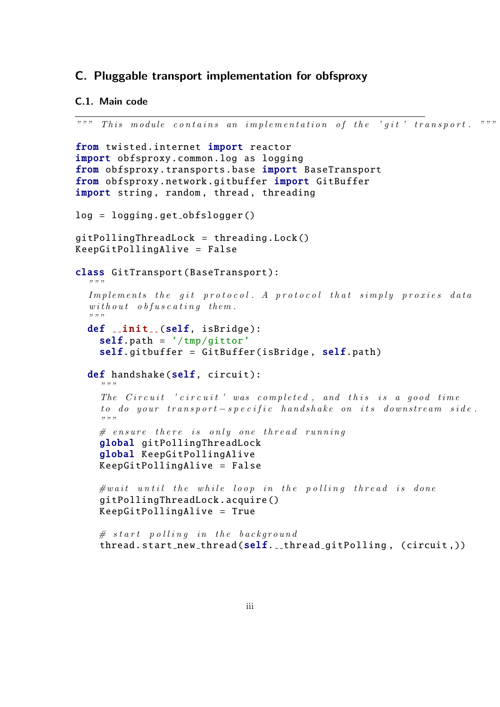### C. Pluggable transport implementation for obfsproxy

#### C.1. Main code

```
" " " This module contains an implementation of the 'qit' transform of a matrix. " " " "from twisted.internet import reactor
import obfsproxy .common.log as logging
from obfsproxy.transports.base import BaseTransport
from obfsproxy .network. gitbuffer import GitBuffer
import string, random, thread, threading
log = logging. get obfslogger ()
gitPollingThreadLock = threading .Lock ()
KeepGitPollingAlive = False
class GitTransport (BaseTransport):
  ,,,,,
  Implements the git protocol. A protocol that simply proxies data
  with out \; obfuscating \; them." " "
  def _init(self, isBridge):
    self.path = '/tmp/gittor'self.gitbuffer = GitBuffer(isBridge, self.path)def handshake (self, circuit):
    " " "
    The Circuit 'circuit' was completed, and this is a good time
    to do your transport -s pecific handshake on its downstream side.
    ,,,,,
    # ensure there is only one thread runningglobal gitPollingThreadLock
    global KeepGitPollingAlive
    KeepGitPollingAlive = False
    \#wait until the while loop in the polling thread is done
    gitPollingThreadLock .acquire ()
    KeepGitPollingAlive = True
    # start polling in the background
    thread.start_new_thread(self.__thread_gitPolling, (circuit,))
```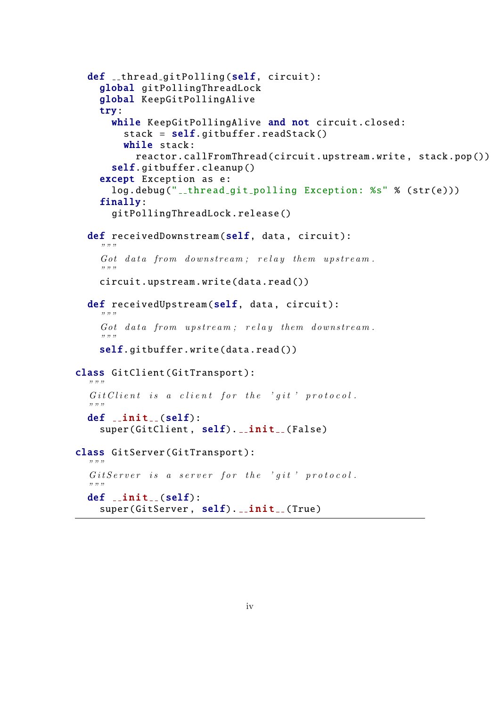```
def __thread_gitPolling (self, circuit):
    global gitPollingThreadLock
    global KeepGitPollingAlive
    try:
      while KeepGitPollingAlive and not circuit.closed:
        stack = self. gitbuffer. readStack()
        while stack:
          reactor. callFromThread (circuit.upstream.write , stack.pop ())
      self. gitbuffer .cleanup ()
    except Exception as e:
      log.debug("__thread_git_polling Exception: %s" % (str(e)))
    finally:
      gitPollingThreadLock .release ()
  def receivedDownstream (self, data, circuit):
    ,,,,,
    Got data from downstream; relay them upstream.
    " " "
    circuit.upstream.write(data.read ())
  def receivedUpstream (self, data, circuit):
    " " "
    Got data from upstream; relay them downstream.
    " " "
    self.gitbuffer.write(data.read())
class GitClient (GitTransport):
  " " "
  Git Client is a client for the 'git' protocol.
  " " "
  def __init__(self):super(GitClient, self). __init__(False)
class GitServer (GitTransport):
  " " "
  Gitserver is a server for the 'git' protocol.
  " " "
  def _init(self):
    super(GitServer, self). __init__(True)
```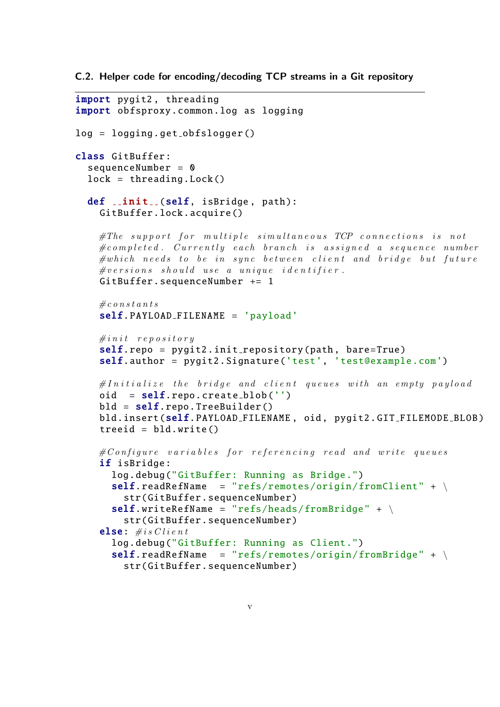C.2. Helper code for encoding/decoding TCP streams in a Git repository

```
import pygit2 , threading
import obfsproxy.common.log as logging
log = logging.get_obfslogger()class GitBuffer :
  sequenceNumber = 0lock = thresholding.Lock()def \text{init} (self, isBridge, path):
    GitBuffer .lock.acquire ()
    \#The\ support\ for\ multiple\ similar\ continuous\ TCP\ connections\ is\ not\#completed. Currently each branch is assigned a sequence number
    \# which\ needs\ to\ be\ in\ sync\ between\ client\ and\ bridge\ but\ future\#versions should use a unique identifier.
    GitBuffer . sequenceNumber += 1
    \# \cos n s t and \sin n sself. PAYLOAD_FILENAME = 'payload'
    \#init repository
    self.repo = pygit2.init_repository(path, bare=True)
    self.author = pygit2. Signature ('test', 'test@example.com')
    \#Initialize the bridge and client queues with an empty payload
    oid = self repo. create blob('')bld = self.repo. TreeBuilder()bld.insert(self. PAYLOAD_FILENAME, oid, pygit2.GIT_FILEMODE_BLOB)
    treeid = bld.write()\#Configure variables for referencing read and write queues
    if isBridge:
      log.debug("GitBuffer: Running as Bridge.")
      self.readRefName = "refs/remotes/origin/fromClient" + \n\str( GitBuffer . sequenceNumber )
      self.writeRefName = "refs/heads/from Bridge" + \n\str( GitBuffer . sequenceNumber )
    else: \# is \nClient: clog.debug("GitBuffer: Running as Client.")
      self.readRefName = "refs/remotes/origin/from Bridge" + \n\str( GitBuffer . sequenceNumber )
```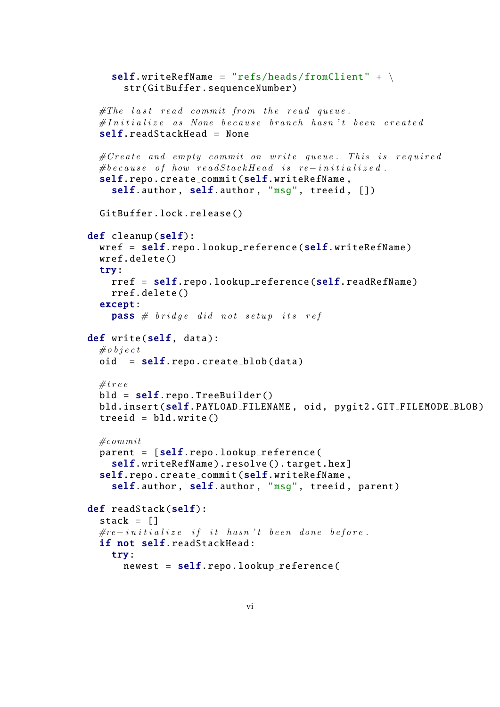```
self.writeRefName = "refs/heads/fromClient" + \n\str( GitBuffer . sequenceNumber )
  \# The\ last\ read\ commit\ from\ the\ read\ queue.\#In\,i\,i\,a\,l\,i\,z\,e as None because branch hasn't been created
  self. readStackHead = None
  \#Create and empty commit on write queue. This is required
  #because of how readStack Head is re-initionalized.self.repo.create_commit (self.writeRefName,
    self.author, self.author, "msg", treeid, [])
  GitBuffer .lock.release ()
def cleanup(self):
  wref = self.repo. lookup_reference(self.writeRefName)wref.delete ()
  try:
    rref = self.repo. lookup reference (self. readRefName )
    rref.delete ()
  except:
    pass \# bridge \ did \ not \ setup its \ refdef write(self, data):
  \#o b j e c t
  oid = self. repo. create_blob(data)
  # treebld = self.repo.TreeBuilder()bld.insert(self. PAYLOAD FILENAME , oid , pygit2. GIT FILEMODE BLOB )
  treet = bld.write()\# commitparent = [self.rep. lookup_reference(self. writeRefName).resolve().target.hex]
  self.repo.create_commit (self.writeRefName,
    self.author, self.author, "msg", treeid, parent)
def readStack(self):
  stack = \lceil]
  \# re-initi \, a \, li \, ze \, if \, it \, has \, n't \, been \, done \, before.if not self. readStackHead :
    try:
      newest = self.rep. lookup_reference(
```